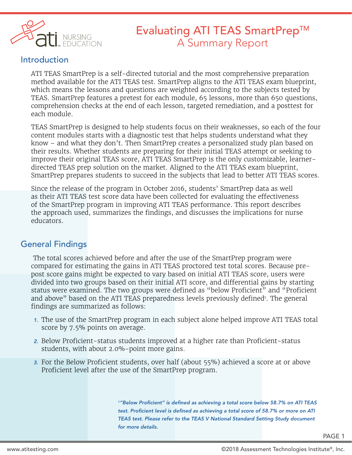

# Evaluating ATI TEAS SmartPrep™ A Summary Report

### Introduction

ATI TEAS SmartPrep is a self-directed tutorial and the most comprehensive preparation method available for the ATI TEAS test. SmartPrep aligns to the ATI TEAS exam blueprint, which means the lessons and questions are weighted according to the subjects tested by TEAS. SmartPrep features a pretest for each module, 65 lessons, more than 650 questions, comprehension checks at the end of each lesson, targeted remediation, and a posttest for each module.

TEAS SmartPrep is designed to help students focus on their weaknesses, so each of the four content modules starts with a diagnostic test that helps students understand what they know – and what they don't. Then SmartPrep creates a personalized study plan based on their results. Whether students are preparing for their initial TEAS attempt or seeking to improve their original TEAS score, ATI TEAS SmartPrep is the only customizable, learnerdirected TEAS prep solution on the market. Aligned to the ATI TEAS exam blueprint, SmartPrep prepares students to succeed in the subjects that lead to better ATI TEAS scores.

Since the release of the program in October 2016, students' SmartPrep data as well as their ATI TEAS test score data have been collected for evaluating the effectiveness of the SmartPrep program in improving ATI TEAS performance. This report describes the approach used, summarizes the findings, and discusses the implications for nurse educators.

# General Findings

 The total scores achieved before and after the use of the SmartPrep program were compared for estimating the gains in ATI TEAS proctored test total scores. Because prepost score gains might be expected to vary based on initial ATI TEAS score, users were divided into two groups based on their initial ATI score, and differential gains by starting status were examined. The two groups were defined as "below Proficient" and "Proficient and above" based on the ATI TEAS preparedness levels previously defined<sup>1</sup>. The general findings are summarized as follows:

- *1.* The use of the SmartPrep program in each subject alone helped improve ATI TEAS total score by 7.5% points on average.
- *2.* Below Proficient-status students improved at a higher rate than Proficient-status students, with about 2.0%-point more gains.
- *3.* For the Below Proficient students, over half (about 55%) achieved a score at or above Proficient level after the use of the SmartPrep program.

*1"Below Proficient" is defined as achieving a total score below 58.7% on ATI TEAS test. Proficient level is defined as achieving a total score of 58.7% or more on ATI TEAS test. Please refer to the TEAS V National Standard Setting Study document for more details.*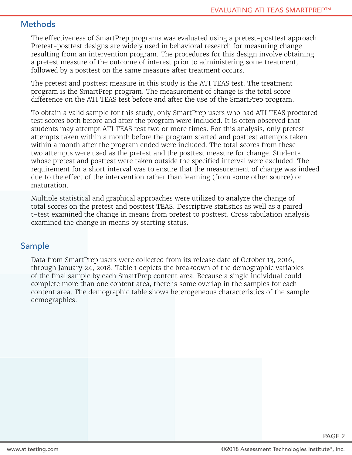### **Methods**

The effectiveness of SmartPrep programs was evaluated using a pretest-posttest approach. Pretest-posttest designs are widely used in behavioral research for measuring change resulting from an intervention program. The procedures for this design involve obtaining a pretest measure of the outcome of interest prior to administering some treatment, followed by a posttest on the same measure after treatment occurs.

The pretest and posttest measure in this study is the ATI TEAS test. The treatment program is the SmartPrep program. The measurement of change is the total score difference on the ATI TEAS test before and after the use of the SmartPrep program.

To obtain a valid sample for this study, only SmartPrep users who had ATI TEAS proctored test scores both before and after the program were included. It is often observed that students may attempt ATI TEAS test two or more times. For this analysis, only pretest attempts taken within a month before the program started and posttest attempts taken within a month after the program ended were included. The total scores from these two attempts were used as the pretest and the posttest measure for change. Students whose pretest and posttest were taken outside the specified interval were excluded. The requirement for a short interval was to ensure that the measurement of change was indeed due to the effect of the intervention rather than learning (from some other source) or maturation.

Multiple statistical and graphical approaches were utilized to analyze the change of total scores on the pretest and posttest TEAS. Descriptive statistics as well as a paired t-test examined the change in means from pretest to posttest. Cross tabulation analysis examined the change in means by starting status.

# Sample

Data from SmartPrep users were collected from its release date of October 13, 2016, through January 24, 2018. Table 1 depicts the breakdown of the demographic variables of the final sample by each SmartPrep content area. Because a single individual could complete more than one content area, there is some overlap in the samples for each content area. The demographic table shows heterogeneous characteristics of the sample demographics.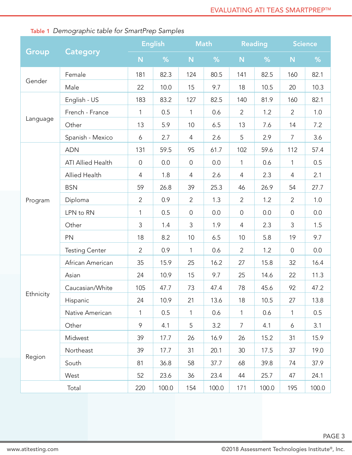|           | <b>Category</b>                             | <b>English</b>                                                   |       | <b>Math</b>         |       | <b>Reading</b> |                                                                                                                                                                                           | Science          |       |
|-----------|---------------------------------------------|------------------------------------------------------------------|-------|---------------------|-------|----------------|-------------------------------------------------------------------------------------------------------------------------------------------------------------------------------------------|------------------|-------|
| Group     |                                             | N                                                                | %     | N                   | %     | N              | %                                                                                                                                                                                         | N                | %     |
|           | Female                                      | 181                                                              | 82.3  | 124                 | 80.5  | 141            | 82.5                                                                                                                                                                                      | 160              | 82.1  |
| Gender    | Male                                        | 22                                                               | 10.0  | 15                  | 9.7   | 18             | 10.5<br>81.9<br>1.2<br>7.6<br>2.9<br>59.6<br>0.6<br>2.3<br>26.9<br>1.2<br>0.0<br>2.3<br>5.8<br>1.2<br>15.8<br>14.6<br>45.6<br>10.5<br>0.6<br>4.1<br>15.2<br>17.5<br>39.8<br>25.7<br>100.0 | 20               | 10.3  |
|           | English - US                                | 183                                                              | 83.2  | 127                 | 82.5  | 140            | $\overline{2}$<br>5<br>$\mathbf{1}$<br>$\overline{4}$<br>$\overline{2}$<br>4<br>$\overline{2}$<br>$\mathbf{1}$<br>$\overline{7}$                                                          | 160              | 82.1  |
|           | French - France                             | 1                                                                | 0.5   | 1                   | 0.6   |                |                                                                                                                                                                                           | $\overline{2}$   | 1.0   |
| Language  | Other                                       | 13                                                               | 5.9   | 10                  | 6.5   | 13             |                                                                                                                                                                                           | 14               | 7.2   |
|           | Spanish - Mexico                            | 6                                                                | 2.7   | 4                   | 2.6   |                |                                                                                                                                                                                           | 7                | 3.6   |
|           | <b>ADN</b>                                  | 131                                                              | 59.5  | 95                  | 61.7  | 102            |                                                                                                                                                                                           | 112              | 57.4  |
|           | <b>ATI Allied Health</b>                    | $\mathbf 0$                                                      | 0.0   | $\overline{0}$      | 0.0   |                |                                                                                                                                                                                           | $\mathbf{1}$     | 0.5   |
|           | <b>Allied Health</b>                        | 4                                                                | 1.8   | 4                   | 2.6   |                |                                                                                                                                                                                           | 4                | 2.1   |
|           | <b>BSN</b>                                  | 59                                                               | 26.8  | 39                  | 25.3  | 46             |                                                                                                                                                                                           | 54               | 27.7  |
| Program   | Diploma                                     | $\overline{2}$                                                   | 0.9   | $\overline{2}$      | 1.3   |                |                                                                                                                                                                                           | $\overline{2}$   | 1.0   |
|           | 0.5<br>0.0<br>LPN to RN<br>$\mathbf 0$<br>1 | $\overline{0}$                                                   |       | $\mathsf{O}\xspace$ | 0.0   |                |                                                                                                                                                                                           |                  |       |
|           | Other                                       | 3                                                                | 1.4   | $\mathfrak{Z}$      | 1.9   |                |                                                                                                                                                                                           | 3                | 1.5   |
|           | PN                                          | 18                                                               | 8.2   | 10                  | 6.5   | 10             |                                                                                                                                                                                           | 19               | 9.7   |
|           | <b>Testing Center</b>                       | $\overline{2}$                                                   | 0.9   | $\mathbf{1}$        | 0.6   |                |                                                                                                                                                                                           | $\boldsymbol{0}$ | 0.0   |
|           | African American                            | 35                                                               | 15.9  | 25                  | 16.2  | 27             |                                                                                                                                                                                           | 32               | 16.4  |
|           | Asian                                       | 24                                                               | 10.9  | 15                  | 9.7   | 25             |                                                                                                                                                                                           | 22               | 11.3  |
|           | Caucasian/White                             | 105                                                              | 47.7  | 73                  | 47.4  | 78             |                                                                                                                                                                                           | 92               | 47.2  |
| Ethnicity | Hispanic                                    | 24                                                               | 10.9  | 21                  | 13.6  | 18             |                                                                                                                                                                                           | 27               | 13.8  |
|           | Native American                             | 1                                                                | 0.5   | $\mathbf{1}$        | 0.6   |                |                                                                                                                                                                                           | 1                | 0.5   |
|           | Other                                       | 9                                                                | 4.1   | 5                   | 3.2   |                |                                                                                                                                                                                           | 6                | 3.1   |
|           | Midwest                                     | 39                                                               | 17.7  | 26                  | 16.9  | 26             |                                                                                                                                                                                           | 31               | 15.9  |
|           | Northeast                                   | 39<br>17.7<br>31<br>20.1<br>30<br>58<br>81<br>36.8<br>37.7<br>68 |       | 37                  | 19.0  |                |                                                                                                                                                                                           |                  |       |
| Region    | South                                       |                                                                  |       | 74                  | 37.9  |                |                                                                                                                                                                                           |                  |       |
|           | West                                        | 52                                                               | 23.6  | 36                  | 23.4  | 44             |                                                                                                                                                                                           | 47               | 24.1  |
| Total     |                                             | 220                                                              | 100.0 | 154                 | 100.0 | 171            |                                                                                                                                                                                           | 195              | 100.0 |

# Table 1 *Demographic table for SmartPrep Samples*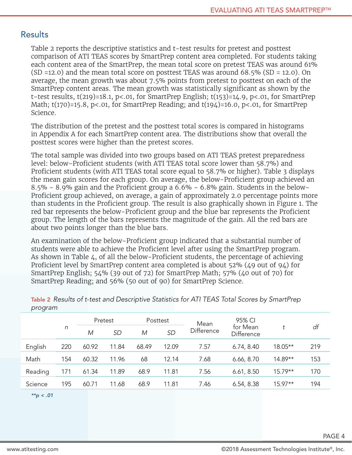### **Results**

Table 2 reports the descriptive statistics and t-test results for pretest and posttest comparison of ATI TEAS scores by SmartPrep content area completed. For students taking each content area of the SmartPrep, the mean total score on pretest TEAS was around 61% (SD =12.0) and the mean total score on posttest TEAS was around 68.5% (SD = 12.0). On average, the mean growth was about 7.5% points from pretest to posttest on each of the SmartPrep content areas. The mean growth was statistically significant as shown by the t-test results,  $t(219)=18.1$ ,  $p<0.01$ , for SmartPrep English;  $t(153)=14.9$ ,  $p<0.01$ , for SmartPrep Math;  $t(170)=15.8$ ,  $p<.01$ , for SmartPrep Reading; and  $t(194)=16.0$ ,  $p<.01$ , for SmartPrep Science.

The distribution of the pretest and the posttest total scores is compared in histograms in Appendix A for each SmartPrep content area. The distributions show that overall the posttest scores were higher than the pretest scores.

The total sample was divided into two groups based on ATI TEAS pretest preparedness level: below-Proficient students (with ATI TEAS total score lower than 58.7%) and Proficient students (with ATI TEAS total score equal to 58.7% or higher). Table 3 displays the mean gain scores for each group. On average, the below-Proficient group achieved an 8.5% - 8.9% gain and the Proficient group a 6.6% - 6.8% gain. Students in the below-Proficient group achieved, on average, a gain of approximately 2.0 percentage points more than students in the Proficient group. The result is also graphically shown in Figure 1. The red bar represents the below-Proficient group and the blue bar represents the Proficient group. The length of the bars represents the magnitude of the gain. All the red bars are about two points longer than the blue bars.

An examination of the below-Proficient group indicated that a substantial number of students were able to achieve the Proficient level after using the SmartPrep program. As shown in Table 4, of all the below-Proficient students, the percentage of achieving Proficient level by SmartPrep content area completed is about 52% (49 out of 94) for SmartPrep English; 54% (39 out of 72) for SmartPrep Math; 57% (40 out of 70) for SmartPrep Reading; and 56% (50 out of 90) for SmartPrep Science.

|         |     | Pretest |           | Posttest |           | Mean       | 95% CI                 |           |     |
|---------|-----|---------|-----------|----------|-----------|------------|------------------------|-----------|-----|
|         | n   | M       | <b>SD</b> | M        | <b>SD</b> | Difference | for Mean<br>Difference |           | df  |
| English | 220 | 60.92   | 11.84     | 68.49    | 12.09     | 7.57       | 6.74, 8.40             | 18.05**   | 219 |
| Math    | 154 | 60.32   | 11.96     | 68       | 12.14     | 7.68       | 6.66, 8.70             | 14.89**   | 153 |
| Reading | 171 | 61.34   | 11.89     | 68.9     | 11.81     | 7.56       | 6.61, 8.50             | $15.79**$ | 170 |
| Science | 195 | 60.71   | 11.68     | 68.9     | 11.81     | 7.46       | 6.54, 8.38             | $15.97**$ | 194 |
|         |     |         |           |          |           |            |                        |           |     |

Table 2 *Results of t-test and Descriptive Statistics for ATI TEAS Total Scores by SmartPrep program*

*\*\*p < .01*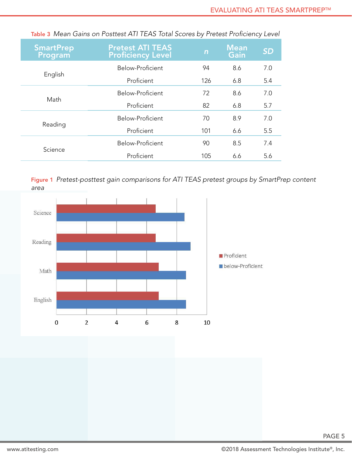| <b>SmartPrep</b><br>Program | <b>Pretest ATI TEAS</b><br><b>Proficiency Level</b> | $\mathsf{n}$ | <b>Mean</b><br>Gain | <b>SD</b> |
|-----------------------------|-----------------------------------------------------|--------------|---------------------|-----------|
|                             | Below-Proficient                                    | 94           | 8.6                 | 7.0       |
| English                     | Proficient                                          | 126          | 6.8                 | 5.4       |
|                             | Below-Proficient                                    | 72           | 8.6                 | 7.0       |
| Math                        | Proficient                                          | 82           | 6.8                 | 5.7       |
|                             | Below-Proficient                                    | 70           | 8.9                 | 7.0       |
| Reading                     | Proficient                                          | 101          | 6.6                 | 5.5       |
|                             | Below-Proficient                                    | 90           | 8.5                 | 7.4       |
| Science                     | Proficient                                          | 105          | 6.6                 | 5.6       |

Table 3 *Mean Gains on Posttest ATI TEAS Total Scores by Pretest Proficiency Level*

Figure 1 *Pretest-posttest gain comparisons for ATI TEAS pretest groups by SmartPrep content area*

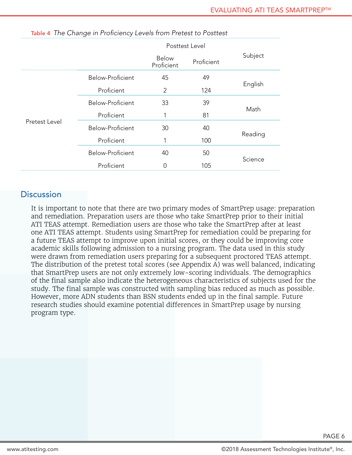|               |                  | Posttest Level                           |     |         |
|---------------|------------------|------------------------------------------|-----|---------|
|               |                  | <b>Below</b><br>Proficient<br>Proficient |     | Subject |
|               | Below-Proficient | 45                                       | 49  |         |
|               | Proficient       | 2                                        | 124 | English |
|               | Below-Proficient | 33                                       | 39  | Math    |
|               | Proficient       |                                          | 81  |         |
| Pretest Level | Below-Proficient | 30                                       |     |         |
|               | Proficient       |                                          | 100 | Reading |
|               | Below-Proficient | 40                                       | 50  | Science |
|               | Proficient       | 0                                        | 105 |         |

Table 4 *The Change in Proficiency Levels from Pretest to Posttest*

#### **Discussion**

It is important to note that there are two primary modes of SmartPrep usage: preparation and remediation. Preparation users are those who take SmartPrep prior to their initial ATI TEAS attempt. Remediation users are those who take the SmartPrep after at least one ATI TEAS attempt. Students using SmartPrep for remediation could be preparing for a future TEAS attempt to improve upon initial scores, or they could be improving core academic skills following admission to a nursing program. The data used in this study were drawn from remediation users preparing for a subsequent proctored TEAS attempt. The distribution of the pretest total scores (see Appendix A) was well balanced, indicating that SmartPrep users are not only extremely low-scoring individuals. The demographics of the final sample also indicate the heterogeneous characteristics of subjects used for the study. The final sample was constructed with sampling bias reduced as much as possible. However, more ADN students than BSN students ended up in the final sample. Future research studies should examine potential differences in SmartPrep usage by nursing program type.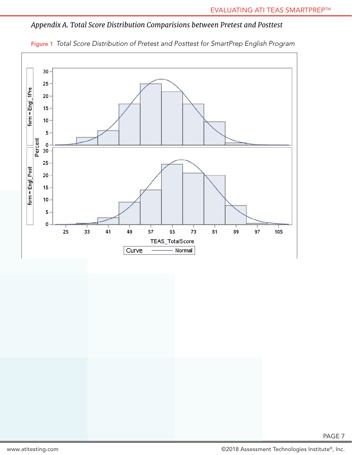### *Appendix A. Total Score Distribution Comparisions between Pretest and Posttest*



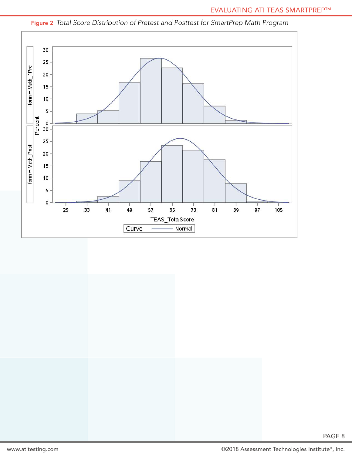

### Figure 2 *Total Score Distribution of Pretest and Posttest for SmartPrep Math Program*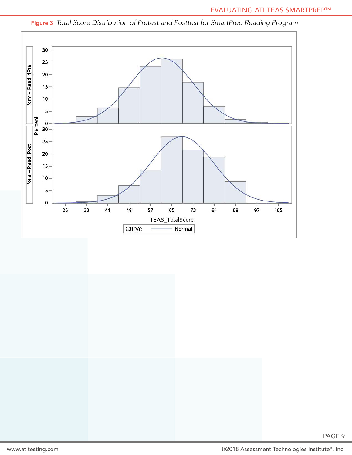

Figure 3 *Total Score Distribution of Pretest and Posttest for SmartPrep Reading Program*